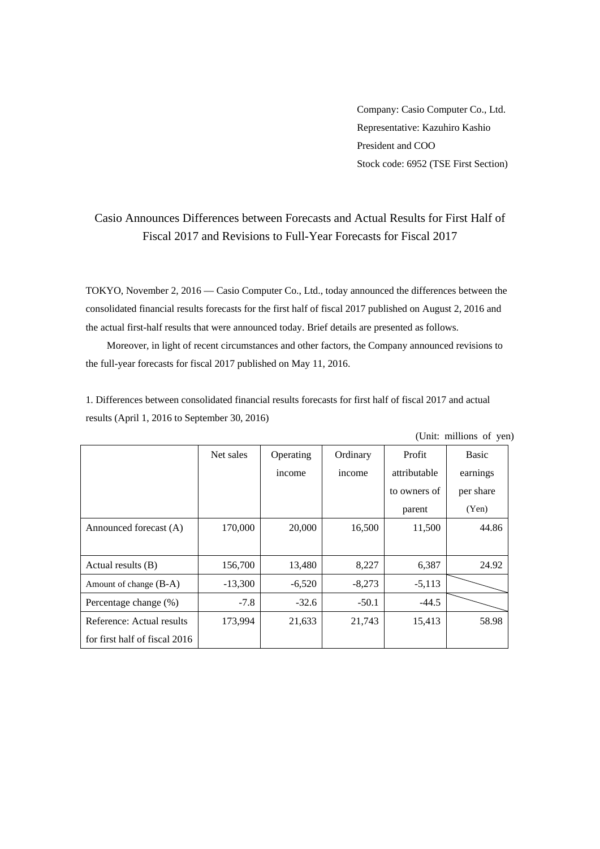Company: Casio Computer Co., Ltd. Representative: Kazuhiro Kashio President and COO Stock code: 6952 (TSE First Section)

## Casio Announces Differences between Forecasts and Actual Results for First Half of Fiscal 2017 and Revisions to Full-Year Forecasts for Fiscal 2017

TOKYO, November 2, 2016 — Casio Computer Co., Ltd., today announced the differences between the consolidated financial results forecasts for the first half of fiscal 2017 published on August 2, 2016 and the actual first-half results that were announced today. Brief details are presented as follows.

Moreover, in light of recent circumstances and other factors, the Company announced revisions to the full-year forecasts for fiscal 2017 published on May 11, 2016.

1. Differences between consolidated financial results forecasts for first half of fiscal 2017 and actual results (April 1, 2016 to September 30, 2016)

|                               | $\sqrt{2}$<br>, |           |          |              |              |  |  |
|-------------------------------|-----------------|-----------|----------|--------------|--------------|--|--|
|                               | Net sales       | Operating | Ordinary | Profit       | <b>Basic</b> |  |  |
|                               |                 | income    | income   | attributable | earnings     |  |  |
|                               |                 |           |          | to owners of | per share    |  |  |
|                               |                 |           |          | parent       | (Yen)        |  |  |
| Announced forecast (A)        | 170,000         | 20,000    | 16,500   | 11,500       | 44.86        |  |  |
|                               |                 |           |          |              |              |  |  |
| Actual results (B)            | 156,700         | 13,480    | 8,227    | 6,387        | 24.92        |  |  |
| Amount of change (B-A)        | $-13,300$       | $-6,520$  | $-8,273$ | $-5,113$     |              |  |  |
| Percentage change (%)         | $-7.8$          | $-32.6$   | $-50.1$  | $-44.5$      |              |  |  |
| Reference: Actual results     | 173,994         | 21,633    | 21,743   | 15,413       | 58.98        |  |  |
| for first half of fiscal 2016 |                 |           |          |              |              |  |  |

(Unit: millions of yen)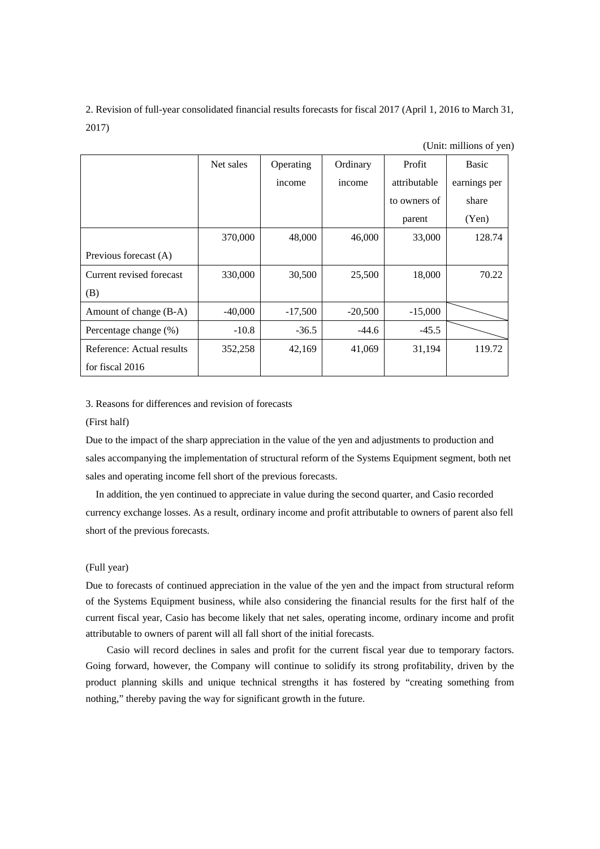2. Revision of full-year consolidated financial results forecasts for fiscal 2017 (April 1, 2016 to March 31, 2017)

(Unit: millions of yen)

|                           | Net sales | Operating | Ordinary  | Profit       | <b>Basic</b> |
|---------------------------|-----------|-----------|-----------|--------------|--------------|
|                           |           | income    | income    | attributable | earnings per |
|                           |           |           |           | to owners of | share        |
|                           |           |           |           | parent       | (Yen)        |
|                           | 370,000   | 48,000    | 46,000    | 33,000       | 128.74       |
| Previous forecast (A)     |           |           |           |              |              |
| Current revised forecast  | 330,000   | 30,500    | 25,500    | 18,000       | 70.22        |
| (B)                       |           |           |           |              |              |
| Amount of change (B-A)    | $-40,000$ | $-17,500$ | $-20,500$ | $-15,000$    |              |
| Percentage change (%)     | $-10.8$   | $-36.5$   | $-44.6$   | $-45.5$      |              |
| Reference: Actual results | 352,258   | 42,169    | 41,069    | 31,194       | 119.72       |
| for fiscal 2016           |           |           |           |              |              |

3. Reasons for differences and revision of forecasts

## (First half)

Due to the impact of the sharp appreciation in the value of the yen and adjustments to production and sales accompanying the implementation of structural reform of the Systems Equipment segment, both net sales and operating income fell short of the previous forecasts.

In addition, the yen continued to appreciate in value during the second quarter, and Casio recorded currency exchange losses. As a result, ordinary income and profit attributable to owners of parent also fell short of the previous forecasts.

## (Full year)

Due to forecasts of continued appreciation in the value of the yen and the impact from structural reform of the Systems Equipment business, while also considering the financial results for the first half of the current fiscal year, Casio has become likely that net sales, operating income, ordinary income and profit attributable to owners of parent will all fall short of the initial forecasts.

 Casio will record declines in sales and profit for the current fiscal year due to temporary factors. Going forward, however, the Company will continue to solidify its strong profitability, driven by the product planning skills and unique technical strengths it has fostered by "creating something from nothing," thereby paving the way for significant growth in the future.